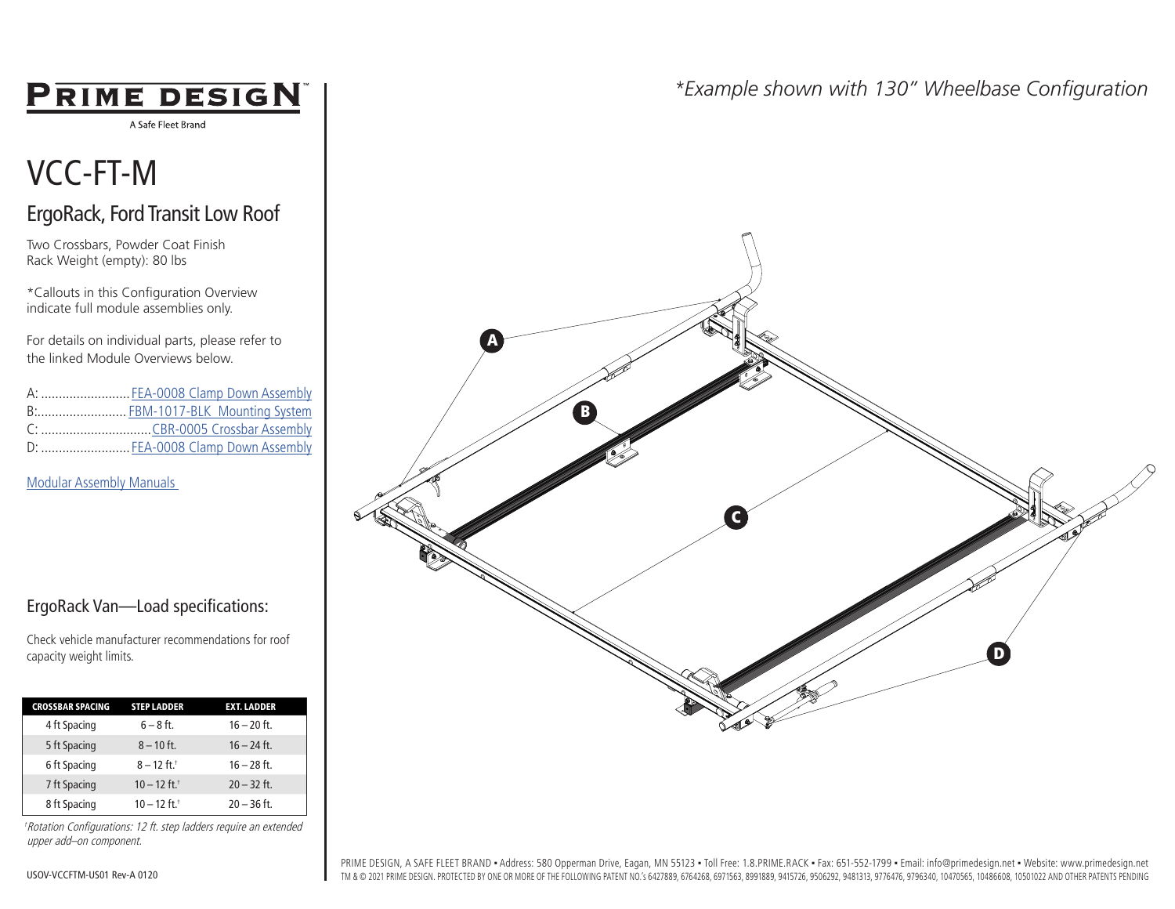## **PRIME DESIGN**

A Safe Fleet Brand

# VCC-FT-M

### ErgoRack, Ford Transit Low Roof

Two Crossbars, Powder Coat Finish Rack Weight (empty): 80 lbs

\*Callouts in this Configuration Overview indicate full module assemblies only.

For details on individual parts, please refer to the linked Module Overviews below.

| A:  FEA-0008 Clamp Down Assembly |
|----------------------------------|
| B: FBM-1017-BLK Mounting System  |
|                                  |
| D:  FEA-0008 Clamp Down Assembly |

[Modular Assembly Manuals](https://www.primedesign.net/document-library/#modular-assembly-manuals-tab) 



Check vehicle manufacturer recommendations for roof capacity weight limits.

| <b>CROSSBAR SPACING</b> | <b>STEP LADDER</b>         | <b>EXT. LADDER</b> |  |
|-------------------------|----------------------------|--------------------|--|
| 4 ft Spacing            | $6 - 8$ ft.                | $16 - 20$ ft.      |  |
| 5 ft Spacing            | $8 - 10$ ft.               | $16 - 24$ ft.      |  |
| 6 ft Spacing            | $8 - 12$ ft. <sup>+</sup>  | $16 - 28$ ft.      |  |
| 7 ft Spacing            | $10 - 12$ ft. <sup>+</sup> | $20 - 32$ ft.      |  |
| 8 ft Spacing            | $10 - 12$ ft. <sup>+</sup> | $20 - 36$ ft.      |  |

†Rotation Configurations: 12 ft. step ladders require an extended upper add–on component.

### *\*Example shown with 130" Wheelbase Configuration*



PRIME DESIGN, A SAFE FLEET BRAND · Address: 580 Opperman Drive, Eagan, MN 55123 · Toll Free: 1.8.PRIME.RACK · Fax: 651-552-1799 · Email: info@primedesign.net · Website: www.primedesign.net TM & © 2021 PRIME DESIGN. PROTECTED BY ONE OR MORE OF THE FOLLOWING PATENT NO.'s 6427889, 6764268, 6971563, 8991889, 9415726, 9506292, 9481313, 9776476, 9796340, 10470565, 10486608, 10501022 AND OTHER PATENTS PENDING